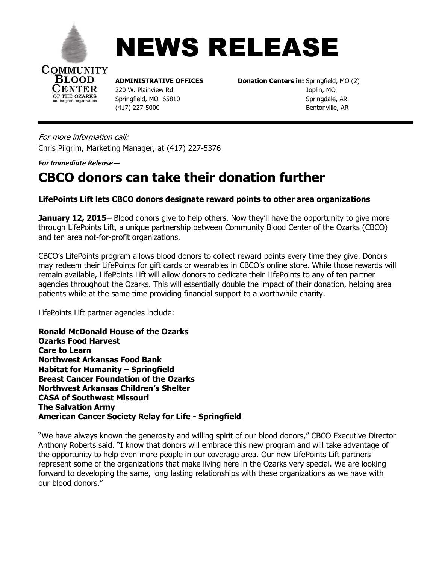

**BLOOD ENTER** OF THE OZARKS



**ADMINISTRATIVE OFFICES Donation Centers in:** Springfield, MO (2) 220 W. Plainview Rd.Joplin, MO Springfield, MO 65810<br>
Springdale, AR (417) 227-5000Bentonville, AR

For more information call: Chris Pilgrim, Marketing Manager, at (417) 227-5376

*For Immediate Release—*

## **CBCO donors can take their donation further**

## **LifePoints Lift lets CBCO donors designate reward points to other area organizations**

**January 12, 2015** – Blood donors give to help others. Now they'll have the opportunity to give more through LifePoints Lift, a unique partnership between Community Blood Center of the Ozarks (CBCO) and ten area not-for-profit organizations.

CBCO's LifePoints program allows blood donors to collect reward points every time they give. Donors may redeem their LifePoints for gift cards or wearables in CBCO's online store. While those rewards will remain available, LifePoints Lift will allow donors to dedicate their LifePoints to any of ten partner agencies throughout the Ozarks. This will essentially double the impact of their donation, helping area patients while at the same time providing financial support to a worthwhile charity.

LifePoints Lift partner agencies include:

**Ronald McDonald House of the Ozarks Ozarks Food Harvest Care to Learn Northwest Arkansas Food Bank Habitat for Humanity – Springfield Breast Cancer Foundation of the Ozarks Northwest Arkansas Children's Shelter CASA of Southwest Missouri The Salvation Army American Cancer Society Relay for Life - Springfield** 

"We have always known the generosity and willing spirit of our blood donors," CBCO Executive Director Anthony Roberts said. "I know that donors will embrace this new program and will take advantage of the opportunity to help even more people in our coverage area. Our new LifePoints Lift partners represent some of the organizations that make living here in the Ozarks very special. We are looking forward to developing the same, long lasting relationships with these organizations as we have with our blood donors."